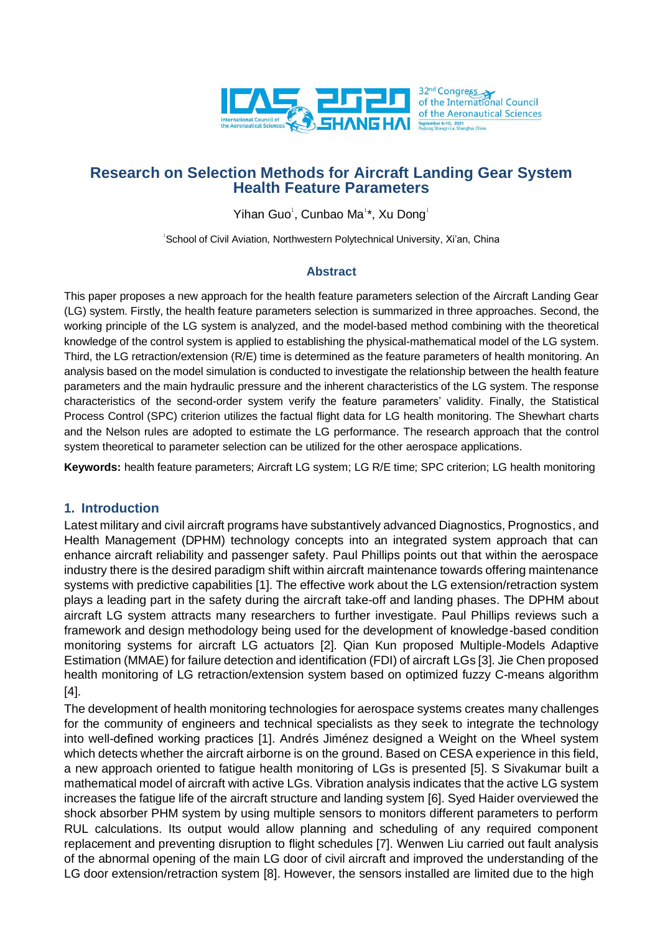

Yihan Guo $^{\rm l}$ , Cunbao Ma $^{\rm l}$ \*, Xu Dong $^{\rm l}$ 

<sup>1</sup>School of Civil Aviation, Northwestern Polytechnical University, Xi'an, China

### **Abstract**

This paper proposes a new approach for the health feature parameters selection of the Aircraft Landing Gear (LG) system. Firstly, the health feature parameters selection is summarized in three approaches. Second, the working principle of the LG system is analyzed, and the model-based method combining with the theoretical knowledge of the control system is applied to establishing the physical-mathematical model of the LG system. Third, the LG retraction/extension (R/E) time is determined as the feature parameters of health monitoring. An analysis based on the model simulation is conducted to investigate the relationship between the health feature parameters and the main hydraulic pressure and the inherent characteristics of the LG system. The response characteristics of the second-order system verify the feature parameters' validity. Finally, the Statistical Process Control (SPC) criterion utilizes the factual flight data for LG health monitoring. The Shewhart charts and the Nelson rules are adopted to estimate the LG performance. The research approach that the control system theoretical to parameter selection can be utilized for the other aerospace applications.

**Keywords:** health feature parameters; Aircraft LG system; LG R/E time; SPC criterion; LG health monitoring

# **1. Introduction**

Latest military and civil aircraft programs have substantively advanced Diagnostics, Prognostics, and Health Management (DPHM) technology concepts into an integrated system approach that can enhance aircraft reliability and passenger safety. Paul Phillips points out that within the aerospace industry there is the desired paradigm shift within aircraft maintenance towards offering maintenance systems with predictive capabilities [1]. The effective work about the LG extension/retraction system plays a leading part in the safety during the aircraft take-off and landing phases. The DPHM about aircraft LG system attracts many researchers to further investigate. Paul Phillips reviews such a framework and design methodology being used for the development of knowledge-based condition monitoring systems for aircraft LG actuators [2]. Qian Kun proposed Multiple-Models Adaptive Estimation (MMAE) for failure detection and identification (FDI) of aircraft LGs [3]. Jie Chen proposed health monitoring of LG retraction/extension system based on optimized fuzzy C-means algorithm [4].

The development of health monitoring technologies for aerospace systems creates many challenges for the community of engineers and technical specialists as they seek to integrate the technology into well-defined working practices [1]. Andrés Jiménez designed a Weight on the Wheel system which detects whether the aircraft airborne is on the ground. Based on CESA experience in this field, a new approach oriented to fatigue health monitoring of LGs is presented [5]. S Sivakumar built a mathematical model of aircraft with active LGs. Vibration analysis indicates that the active LG system increases the fatigue life of the aircraft structure and landing system [6]. Syed Haider overviewed the shock absorber PHM system by using multiple sensors to monitors different parameters to perform RUL calculations. Its output would allow planning and scheduling of any required component replacement and preventing disruption to flight schedules [7]. Wenwen Liu carried out fault analysis of the abnormal opening of the main LG door of civil aircraft and improved the understanding of the LG door extension/retraction system [8]. However, the sensors installed are limited due to the high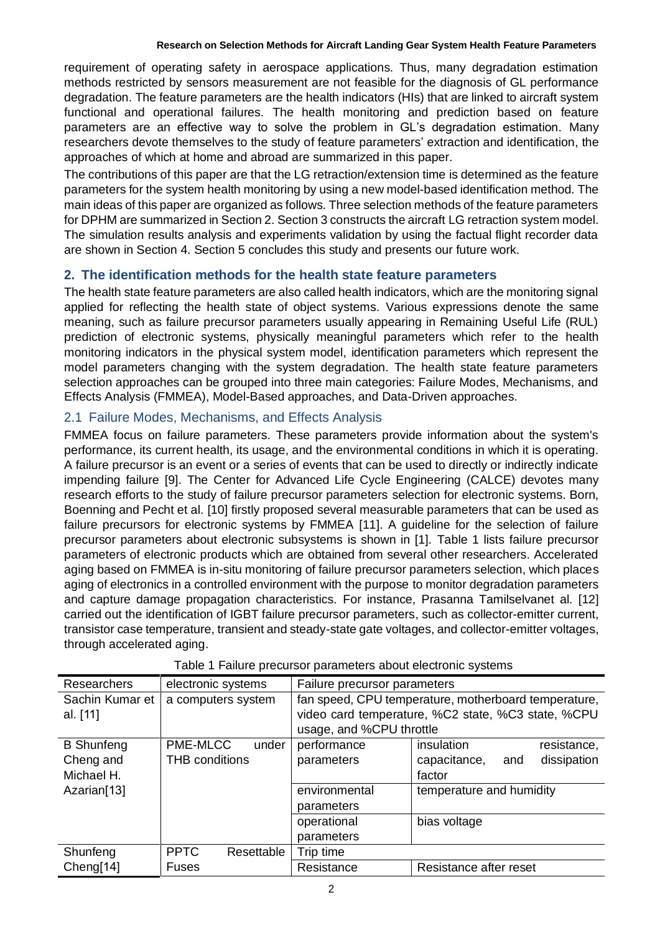requirement of operating safety in aerospace applications. Thus, many degradation estimation methods restricted by sensors measurement are not feasible for the diagnosis of GL performance degradation. The feature parameters are the health indicators (HIs) that are linked to aircraft system functional and operational failures. The health monitoring and prediction based on feature parameters are an effective way to solve the problem in GL's degradation estimation. Many researchers devote themselves to the study of feature parameters' extraction and identification, the approaches of which at home and abroad are summarized in this paper.

The contributions of this paper are that the LG retraction/extension time is determined as the feature parameters for the system health monitoring by using a new model-based identification method. The main ideas of this paper are organized as follows. Three selection methods of the feature parameters for DPHM are summarized in Section 2. Section 3 constructs the aircraft LG retraction system model. The simulation results analysis and experiments validation by using the factual flight recorder data are shown in Section 4. Section 5 concludes this study and presents our future work.

# **2. The identification methods for the health state feature parameters**

The health state feature parameters are also called health indicators, which are the monitoring signal applied for reflecting the health state of object systems. Various expressions denote the same meaning, such as failure precursor parameters usually appearing in Remaining Useful Life (RUL) prediction of electronic systems, physically meaningful parameters which refer to the health monitoring indicators in the physical system model, identification parameters which represent the model parameters changing with the system degradation. The health state feature parameters selection approaches can be grouped into three main categories: Failure Modes, Mechanisms, and Effects Analysis (FMMEA), Model-Based approaches, and Data-Driven approaches.

# 2.1 Failure Modes, Mechanisms, and Effects Analysis

FMMEA focus on failure parameters. These parameters provide information about the system's performance, its current health, its usage, and the environmental conditions in which it is operating. A failure precursor is an event or a series of events that can be used to directly or indirectly indicate impending failure [9]. The Center for Advanced Life Cycle Engineering (CALCE) devotes many research efforts to the study of failure precursor parameters selection for electronic systems. Born, Boenning and Pecht et al. [10] firstly proposed several measurable parameters that can be used as failure precursors for electronic systems by FMMEA [11]. A guideline for the selection of failure precursor parameters about electronic subsystems is shown in [1]. Table 1 lists failure precursor parameters of electronic products which are obtained from several other researchers. Accelerated aging based on FMMEA is in-situ monitoring of failure precursor parameters selection, which places aging of electronics in a controlled environment with the purpose to monitor degradation parameters and capture damage propagation characteristics. For instance, Prasanna Tamilselvanet al. [12] carried out the identification of IGBT failure precursor parameters, such as collector-emitter current, transistor case temperature, transient and steady-state gate voltages, and collector-emitter voltages, through accelerated aging.

| <b>Researchers</b>                           | electronic systems                         | Failure precursor parameters                                                                                                           |                                                                           |  |
|----------------------------------------------|--------------------------------------------|----------------------------------------------------------------------------------------------------------------------------------------|---------------------------------------------------------------------------|--|
| Sachin Kumar et<br>al. [11]                  | a computers system                         | fan speed, CPU temperature, motherboard temperature,<br>video card temperature, %C2 state, %C3 state, %CPU<br>usage, and %CPU throttle |                                                                           |  |
| <b>B</b> Shunfeng<br>Cheng and<br>Michael H. | PME-MLCC<br>under<br><b>THB</b> conditions | performance<br>parameters                                                                                                              | insulation<br>resistance,<br>dissipation<br>capacitance,<br>and<br>factor |  |
| Azarian[13]                                  |                                            | environmental<br>parameters                                                                                                            | temperature and humidity                                                  |  |
|                                              |                                            | operational<br>parameters                                                                                                              | bias voltage                                                              |  |
| Shunfeng                                     | <b>PPTC</b><br>Resettable                  | Trip time                                                                                                                              |                                                                           |  |
| Cheng[14]                                    | <b>Fuses</b>                               | Resistance                                                                                                                             | Resistance after reset                                                    |  |

#### Table 1 Failure precursor parameters about electronic systems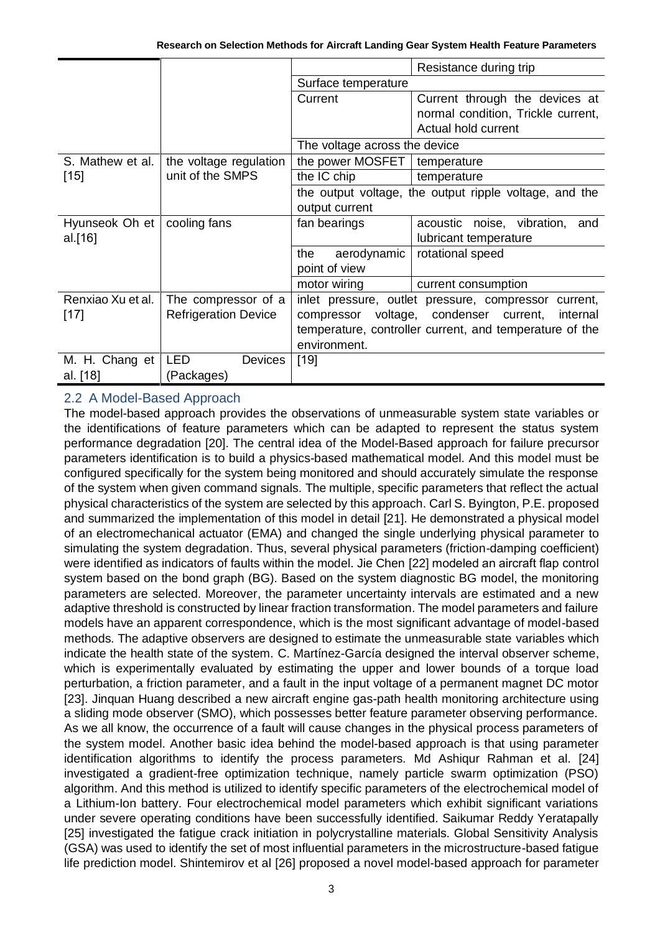|                   |                              |                                                          | Resistance during trip                                 |  |
|-------------------|------------------------------|----------------------------------------------------------|--------------------------------------------------------|--|
|                   |                              | Surface temperature                                      |                                                        |  |
|                   |                              | Current                                                  | Current through the devices at                         |  |
|                   |                              |                                                          | normal condition, Trickle current,                     |  |
|                   |                              |                                                          | Actual hold current                                    |  |
|                   |                              | The voltage across the device                            |                                                        |  |
| S. Mathew et al.  | the voltage regulation       | the power MOSFET                                         | temperature                                            |  |
| $[15]$            | unit of the SMPS             | the IC chip                                              | temperature                                            |  |
|                   |                              |                                                          | the output voltage, the output ripple voltage, and the |  |
|                   |                              | output current                                           |                                                        |  |
| Hyunseok Oh et    | cooling fans                 | fan bearings                                             | acoustic noise, vibration,<br>and                      |  |
| al.[16]           |                              |                                                          | lubricant temperature                                  |  |
|                   |                              | aerodynamic<br>the                                       | rotational speed                                       |  |
|                   |                              | point of view                                            |                                                        |  |
|                   |                              | motor wiring                                             | current consumption                                    |  |
| Renxiao Xu et al. | The compressor of a          | inlet pressure, outlet pressure, compressor<br>current,  |                                                        |  |
| $[17]$            | <b>Refrigeration Device</b>  | voltage, condenser<br>internal<br>compressor<br>current, |                                                        |  |
|                   |                              | temperature, controller current, and temperature of the  |                                                        |  |
|                   |                              | environment.                                             |                                                        |  |
| M. H. Chang et    | <b>LED</b><br><b>Devices</b> | [19]                                                     |                                                        |  |
| al. [18]          | (Packages)                   |                                                          |                                                        |  |

# 2.2 A Model-Based Approach

The model-based approach provides the observations of unmeasurable system state variables or the identifications of feature parameters which can be adapted to represent the status system performance degradation [20]. The central idea of the Model-Based approach for failure precursor parameters identification is to build a physics-based mathematical model. And this model must be configured specifically for the system being monitored and should accurately simulate the response of the system when given command signals. The multiple, specific parameters that reflect the actual physical characteristics of the system are selected by this approach. Carl S. Byington, P.E. proposed and summarized the implementation of this model in detail [21]. He demonstrated a physical model of an electromechanical actuator (EMA) and changed the single underlying physical parameter to simulating the system degradation. Thus, several physical parameters (friction-damping coefficient) were identified as indicators of faults within the model. Jie Chen [22] modeled an aircraft flap control system based on the bond graph (BG). Based on the system diagnostic BG model, the monitoring parameters are selected. Moreover, the parameter uncertainty intervals are estimated and a new adaptive threshold is constructed by linear fraction transformation. The model parameters and failure models have an apparent correspondence, which is the most significant advantage of model-based methods. The adaptive observers are designed to estimate the unmeasurable state variables which indicate the health state of the system. C. Martínez-García designed the interval observer scheme, which is experimentally evaluated by estimating the upper and lower bounds of a torque load perturbation, a friction parameter, and a fault in the input voltage of a permanent magnet DC motor [23]. Jinguan Huang described a new aircraft engine gas-path health monitoring architecture using a sliding mode observer (SMO), which possesses better feature parameter observing performance. As we all know, the occurrence of a fault will cause changes in the physical process parameters of the system model. Another basic idea behind the model-based approach is that using parameter identification algorithms to identify the process parameters. Md Ashiqur Rahman et al. [24] investigated a gradient-free optimization technique, namely particle swarm optimization (PSO) algorithm. And this method is utilized to identify specific parameters of the electrochemical model of a Lithium-Ion battery. Four electrochemical model parameters which exhibit significant variations under severe operating conditions have been successfully identified. Saikumar Reddy Yeratapally [25] investigated the fatigue crack initiation in polycrystalline materials. Global Sensitivity Analysis (GSA) was used to identify the set of most influential parameters in the microstructure-based fatigue life prediction model. Shintemirov et al [26] proposed a novel model-based approach for parameter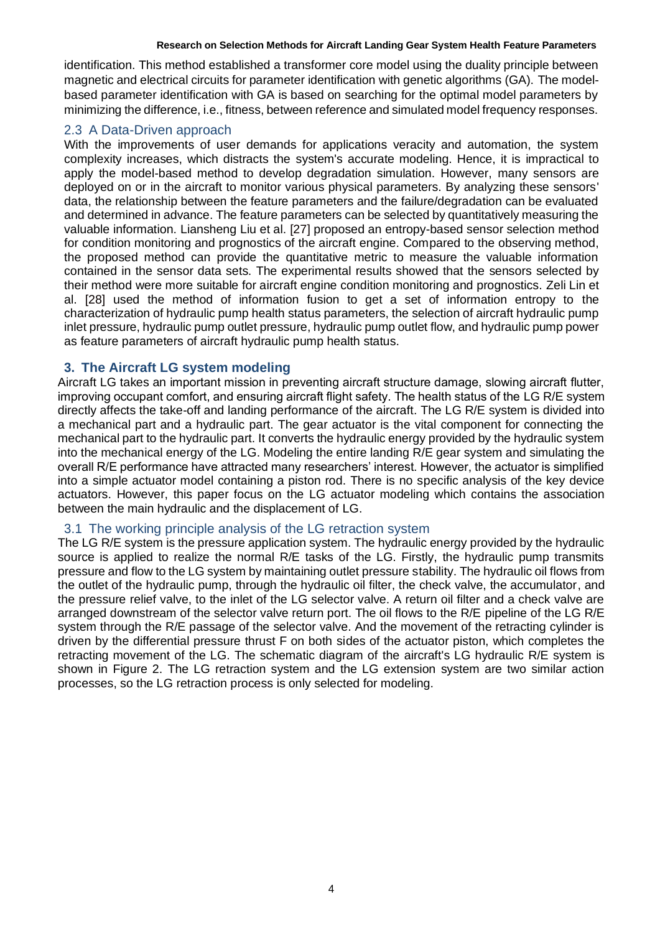identification. This method established a transformer core model using the duality principle between magnetic and electrical circuits for parameter identification with genetic algorithms (GA). The modelbased parameter identification with GA is based on searching for the optimal model parameters by minimizing the difference, i.e., fitness, between reference and simulated model frequency responses.

### 2.3 A Data-Driven approach

With the improvements of user demands for applications veracity and automation, the system complexity increases, which distracts the system's accurate modeling. Hence, it is impractical to apply the model-based method to develop degradation simulation. However, many sensors are deployed on or in the aircraft to monitor various physical parameters. By analyzing these sensors' data, the relationship between the feature parameters and the failure/degradation can be evaluated and determined in advance. The feature parameters can be selected by quantitatively measuring the valuable information. Liansheng Liu et al. [27] proposed an entropy-based sensor selection method for condition monitoring and prognostics of the aircraft engine. Compared to the observing method, the proposed method can provide the quantitative metric to measure the valuable information contained in the sensor data sets. The experimental results showed that the sensors selected by their method were more suitable for aircraft engine condition monitoring and prognostics. Zeli Lin et al. [28] used the method of information fusion to get a set of information entropy to the characterization of hydraulic pump health status parameters, the selection of aircraft hydraulic pump inlet pressure, hydraulic pump outlet pressure, hydraulic pump outlet flow, and hydraulic pump power as feature parameters of aircraft hydraulic pump health status.

### **3. The Aircraft LG system modeling**

Aircraft LG takes an important mission in preventing aircraft structure damage, slowing aircraft flutter, improving occupant comfort, and ensuring aircraft flight safety. The health status of the LG R/E system directly affects the take-off and landing performance of the aircraft. The LG R/E system is divided into a mechanical part and a hydraulic part. The gear actuator is the vital component for connecting the mechanical part to the hydraulic part. It converts the hydraulic energy provided by the hydraulic system into the mechanical energy of the LG. Modeling the entire landing R/E gear system and simulating the overall R/E performance have attracted many researchers' interest. However, the actuator is simplified into a simple actuator model containing a piston rod. There is no specific analysis of the key device actuators. However, this paper focus on the LG actuator modeling which contains the association between the main hydraulic and the displacement of LG.

### 3.1 The working principle analysis of the LG retraction system

The LG R/E system is the pressure application system. The hydraulic energy provided by the hydraulic source is applied to realize the normal R/E tasks of the LG. Firstly, the hydraulic pump transmits pressure and flow to the LG system by maintaining outlet pressure stability. The hydraulic oil flows from the outlet of the hydraulic pump, through the hydraulic oil filter, the check valve, the accumulator, and the pressure relief valve, to the inlet of the LG selector valve. A return oil filter and a check valve are arranged downstream of the selector valve return port. The oil flows to the R/E pipeline of the LG R/E system through the R/E passage of the selector valve. And the movement of the retracting cylinder is driven by the differential pressure thrust F on both sides of the actuator piston, which completes the retracting movement of the LG. The schematic diagram of the aircraft's LG hydraulic R/E system is shown in Figure 2. The LG retraction system and the LG extension system are two similar action processes, so the LG retraction process is only selected for modeling.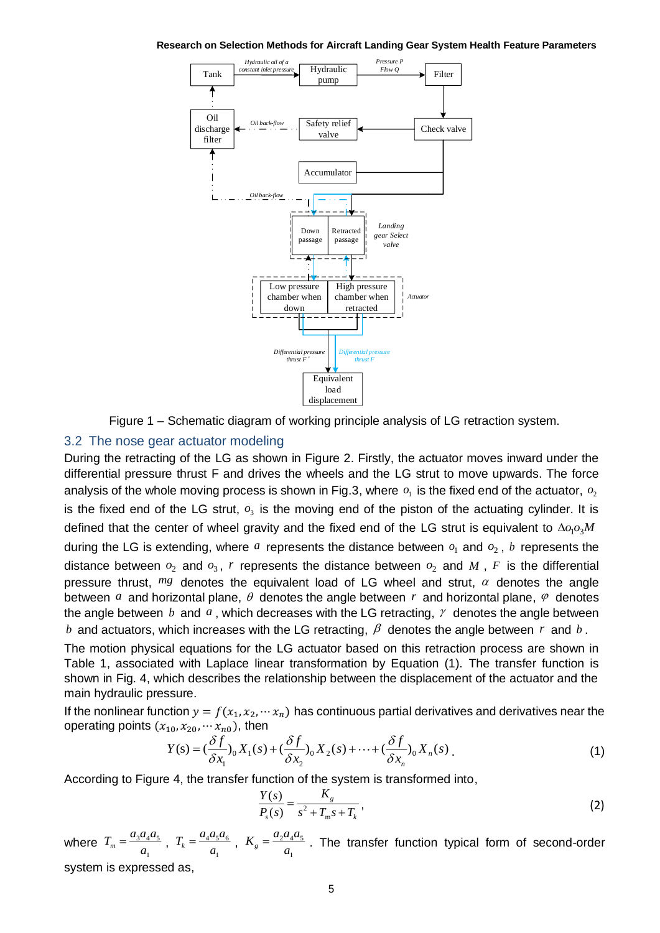**Research on Selection Methods for Aircraft Landing Gear System Health Feature Parameters**



Figure 1 – Schematic diagram of working principle analysis of LG retraction system.

### 3.2 The nose gear actuator modeling

During the retracting of the LG as shown in Figure 2. Firstly, the actuator moves inward under the differential pressure thrust F and drives the wheels and the LG strut to move upwards. The force analysis of the whole moving process is shown in Fig.3, where  $o<sub>1</sub>$  is the fixed end of the actuator,  $o<sub>2</sub>$ is the fixed end of the LG strut,  $o_3$  is the moving end of the piston of the actuating cylinder. It is defined that the center of wheel gravity and the fixed end of the LG strut is equivalent to  $\Delta o_l o_3 M$ during the LG is extending, where  $a$  represents the distance between  $o_1$  and  $o_2$ ,  $b$  represents the distance between  $o_2$  and  $o_3$ , r represents the distance between  $o_2$  and M, F is the differential pressure thrust,  $mg$  denotes the equivalent load of LG wheel and strut,  $\alpha$  denotes the angle between  $a$  and horizontal plane,  $\theta$  denotes the angle between  $r$  and horizontal plane,  $\varphi$  denotes the angle between b and  $a$ , which decreases with the LG retracting,  $\gamma$  denotes the angle between  $b$  and actuators, which increases with the LG retracting,  $\beta$  denotes the angle between  $\,r\,$  and  $\,b$  .

The motion physical equations for the LG actuator based on this retraction process are shown in Table 1, associated with Laplace linear transformation by Equation (1). The transfer function is shown in Fig. 4, which describes the relationship between the displacement of the actuator and the main hydraulic pressure.

If the nonlinear function  $y = f(x_1, x_2, \dots, x_n)$  has continuous partial derivatives and derivatives near the operating points  $(x_{10}, x_{20}, \dots, x_{n0})$ , then

$$
Y(s) = \left(\frac{\delta f}{\delta x_1}\right)_0 X_1(s) + \left(\frac{\delta f}{\delta x_2}\right)_0 X_2(s) + \dots + \left(\frac{\delta f}{\delta x_n}\right)_0 X_n(s) \tag{1}
$$

According to Figure 4, the transfer function of the system is transformed into,

$$
\frac{Y(s)}{P_s(s)} = \frac{K_s}{s^2 + T_m s + T_k},
$$
\n(2)

where  $T_m = \frac{u_3 u_4 u_5}{r}$  $T_m = \frac{a_3 a_4 a_4}{a_1}$  $=\frac{a_3a_4a_5}{a_1}$ ,  $T_k = \frac{a_4a_5a_6}{a_1}$ 1  $T_k = \frac{a_4 a_5 a_6}{a_6 a_6}$  $=\frac{a_4a_5a_6}{a_1}$ ,  $K_g=\frac{a_2a_4a_5}{a_1}$  $K_{g} = \frac{a_{2}a_{4}a_{4}a_{4}}{a_{1}}$  $=\frac{p+q+q-3}{q}$ . The transfer function typical form of second-order system is expressed as,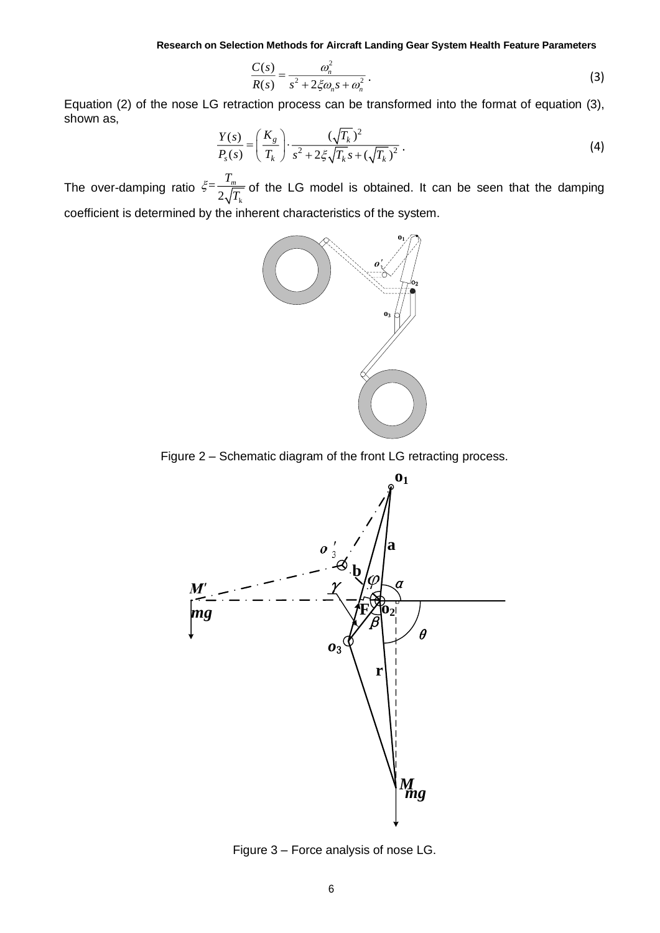$$
\frac{C(s)}{R(s)} = \frac{\omega_n^2}{s^2 + 2\xi\omega_n s + \omega_n^2} \,. \tag{3}
$$

Equation (2) of the nose LG retraction process can be transformed into the format of equation (3), shown as,

$$
\frac{Y(s)}{P_s(s)} = \left(\frac{K_g}{T_k}\right) \cdot \frac{(\sqrt{T_k})^2}{s^2 + 2\xi\sqrt{T_k} s + (\sqrt{T_k})^2} \,. \tag{4}
$$

The over-damping ratio  $\xi=\frac{m}{2\sqrt{T_k}}$  $\bar{z}$ *T m*  $\zeta = \frac{2m}{2\sqrt{T}}$  of the LG model is obtained. It can be seen that the damping

coefficient is determined by the inherent characteristics of the system.



Figure 2 – Schematic diagram of the front LG retracting process.



Figure 3 – Force analysis of nose LG.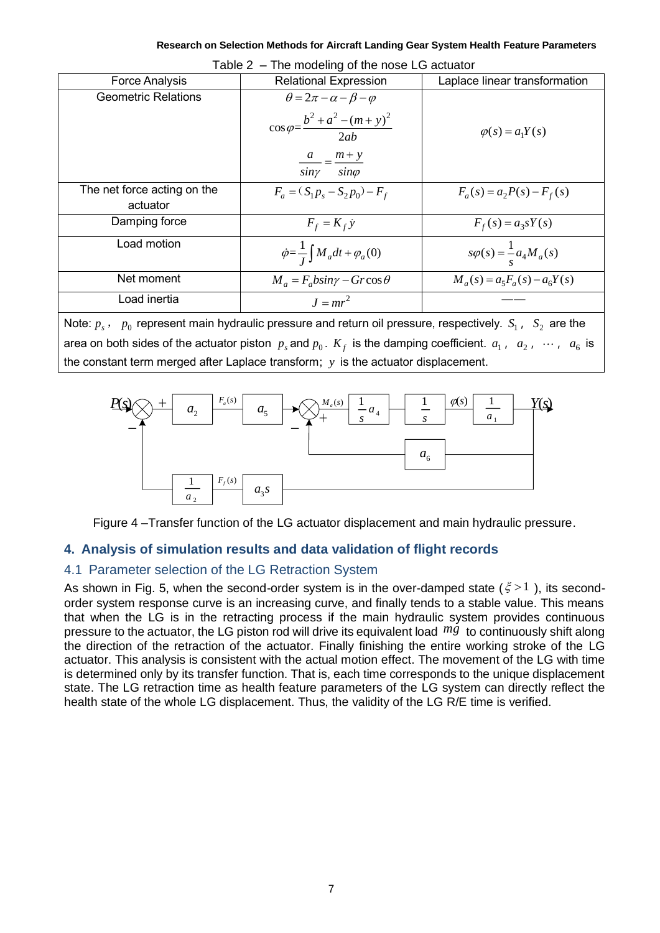| <b>Force Analysis</b>                   | <b>Relational Expression</b>                                                                     | Laplace linear transformation          |
|-----------------------------------------|--------------------------------------------------------------------------------------------------|----------------------------------------|
| <b>Geometric Relations</b>              | $\theta = 2\pi - \alpha - \beta - \varphi$<br>$\cos \varphi = \frac{b^2 + a^2 - (m + y)^2}{2ab}$ | $\varphi(s) = a_1 Y(s)$                |
|                                         | $\frac{a}{\sin\gamma} = \frac{m+y}{\sin\varphi}$                                                 |                                        |
| The net force acting on the<br>actuator | $F_a = (S_1 p_s - S_2 p_0) - F_f$                                                                | $F_a(s) = a_2 P(s) - F_f(s)$           |
| Damping force                           | $F_f = K_f \dot{y}$                                                                              | $F_f(s) = a_3 s Y(s)$                  |
| Load motion                             | $\dot{\varphi} = \frac{1}{I} \int M_a dt + \varphi_a(0)$                                         | $s\varphi(s) = \frac{1}{s} a_4 M_a(s)$ |
| Net moment                              | $M_a = F_a b \sin\gamma - G r \cos\theta$                                                        | $M_a(s) = a_5 F_a(s) - a_6 Y(s)$       |
| Load inertia                            | $J=mr^2$                                                                                         |                                        |
|                                         |                                                                                                  |                                        |

Table 2 – The modeling of the nose LG actuator

Note:  $p_s$  ,  $\;\: p_0$  represent main hydraulic pressure and return oil pressure, respectively.  $S_1$  ,  $\;\: S_2$  are the area on both sides of the actuator piston  $p_s$  and  $p_0$ .  $K_f$  is the damping coefficient.  $a_1$  ,  $a_2$  ,  $\;\cdots$  ,  $\;a_6$  is the constant term merged after Laplace transform; *y* is the actuator displacement.



Figure 4 –Transfer function of the LG actuator displacement and main hydraulic pressure.

# **4. Analysis of simulation results and data validation of flight records**

# 4.1 Parameter selection of the LG Retraction System

As shown in Fig. 5, when the second-order system is in the over-damped state ( $\xi$ >1), its secondorder system response curve is an increasing curve, and finally tends to a stable value. This means that when the LG is in the retracting process if the main hydraulic system provides continuous pressure to the actuator, the LG piston rod will drive its equivalent load *mg* to continuously shift along the direction of the retraction of the actuator. Finally finishing the entire working stroke of the LG actuator. This analysis is consistent with the actual motion effect. The movement of the LG with time is determined only by its transfer function. That is, each time corresponds to the unique displacement state. The LG retraction time as health feature parameters of the LG system can directly reflect the health state of the whole LG displacement. Thus, the validity of the LG R/E time is verified.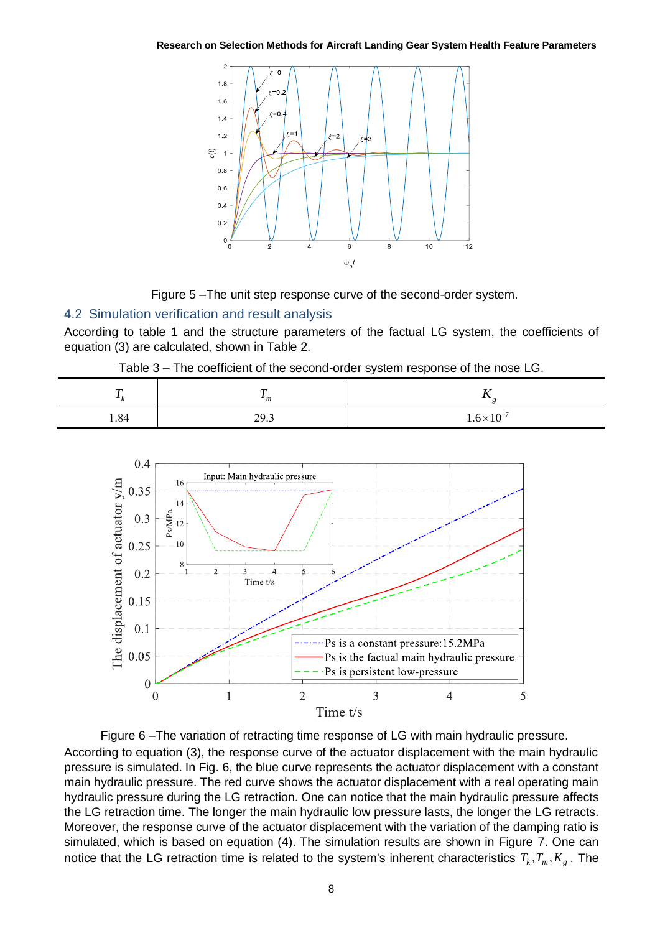

Figure 5 –The unit step response curve of the second-order system.

# 4.2 Simulation verification and result analysis

According to table 1 and the structure parameters of the factual LG system, the coefficients of equation (3) are calculated, shown in Table 2.

| Table 3 - The coefficient of the second-order system response of the nose LG. |  |  |
|-------------------------------------------------------------------------------|--|--|
|                                                                               |  |  |

| $\overline{ }$<br>- | m<br>m | $-$<br>                        |
|---------------------|--------|--------------------------------|
| 1.84                | 29.3   | $1.6 \times 10^{-7}$<br>$\sim$ |



Figure 6 –The variation of retracting time response of LG with main hydraulic pressure. According to equation (3), the response curve of the actuator displacement with the main hydraulic pressure is simulated. In Fig. 6, the blue curve represents the actuator displacement with a constant main hydraulic pressure. The red curve shows the actuator displacement with a real operating main hydraulic pressure during the LG retraction. One can notice that the main hydraulic pressure affects the LG retraction time. The longer the main hydraulic low pressure lasts, the longer the LG retracts. Moreover, the response curve of the actuator displacement with the variation of the damping ratio is simulated, which is based on equation (4). The simulation results are shown in Figure 7. One can notice that the LG retraction time is related to the system's inherent characteristics  $T_k, T_m, K_g$ . The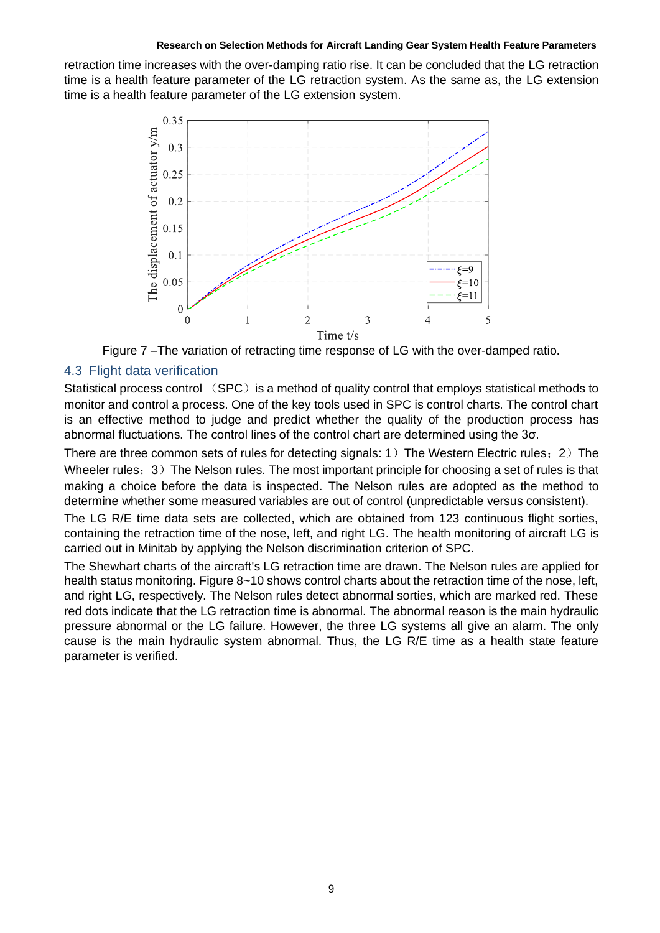retraction time increases with the over-damping ratio rise. It can be concluded that the LG retraction time is a health feature parameter of the LG retraction system. As the same as, the LG extension time is a health feature parameter of the LG extension system.



Figure 7 –The variation of retracting time response of LG with the over-damped ratio.

### 4.3 Flight data verification

Statistical process control (SPC) is a method of quality control that employs statistical methods to monitor and control a process. One of the key tools used in SPC is control charts. The control chart is an effective method to judge and predict whether the quality of the production process has abnormal fluctuations. The control lines of the control chart are determined using the 3σ.

There are three common sets of rules for detecting signals:  $1)$  The Western Electric rules; 2) The Wheeler rules;  $3)$  The Nelson rules. The most important principle for choosing a set of rules is that making a choice before the data is inspected. The Nelson rules are adopted as the method to determine whether some measured variables are out of control (unpredictable versus consistent).

The LG R/E time data sets are collected, which are obtained from 123 continuous flight sorties, containing the retraction time of the nose, left, and right LG. The health monitoring of aircraft LG is carried out in Minitab by applying the Nelson discrimination criterion of SPC.

The Shewhart charts of the aircraft's LG retraction time are drawn. The Nelson rules are applied for health status monitoring. Figure 8~10 shows control charts about the retraction time of the nose, left, and right LG, respectively. The Nelson rules detect abnormal sorties, which are marked red. These red dots indicate that the LG retraction time is abnormal. The abnormal reason is the main hydraulic pressure abnormal or the LG failure. However, the three LG systems all give an alarm. The only cause is the main hydraulic system abnormal. Thus, the LG R/E time as a health state feature parameter is verified.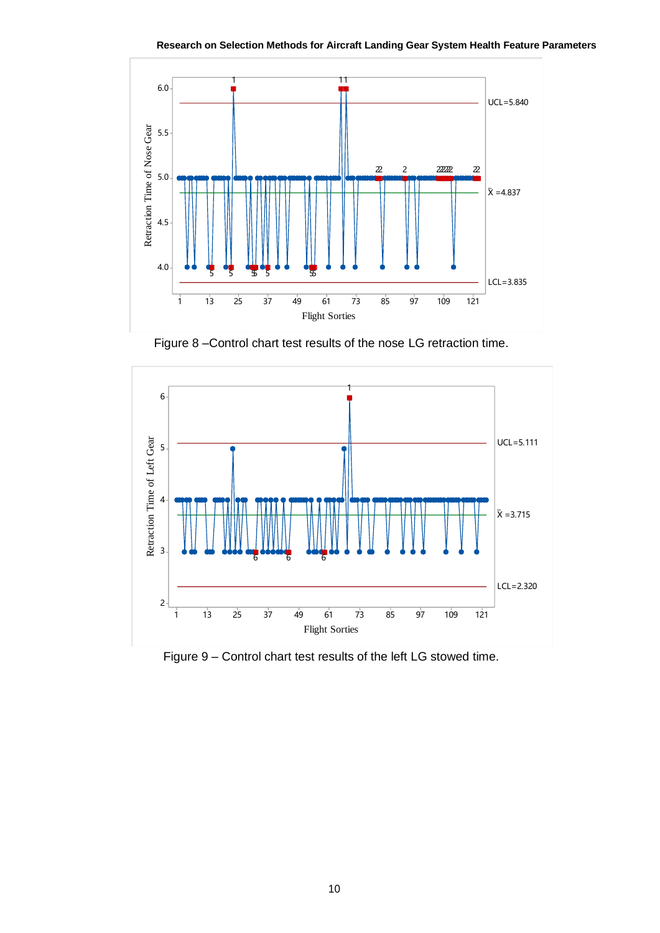

Figure 8 –Control chart test results of the nose LG retraction time.



Figure 9 – Control chart test results of the left LG stowed time.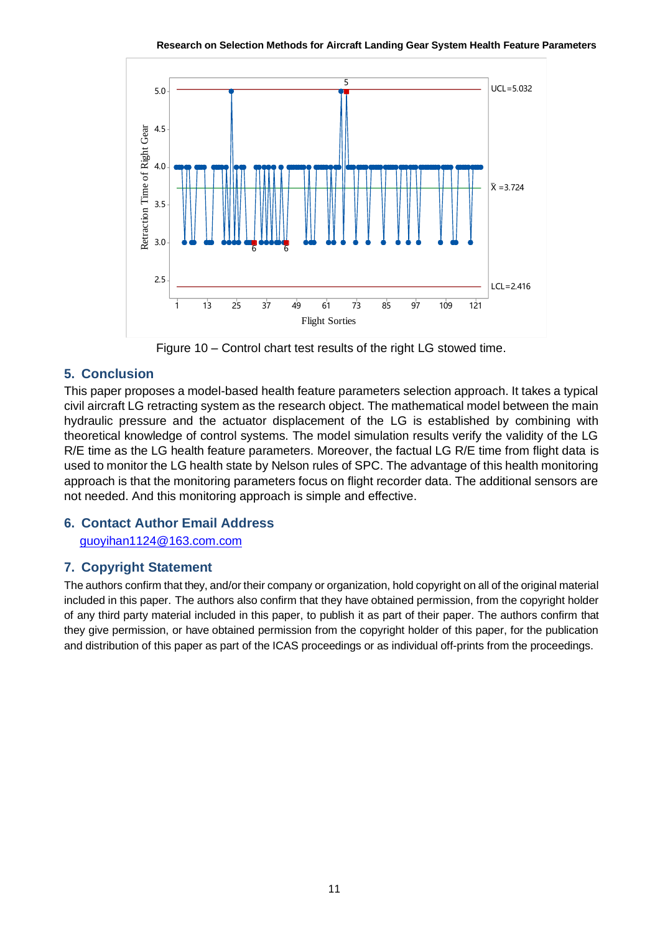

Figure 10 – Control chart test results of the right LG stowed time.

# **5. Conclusion**

This paper proposes a model-based health feature parameters selection approach. It takes a typical civil aircraft LG retracting system as the research object. The mathematical model between the main hydraulic pressure and the actuator displacement of the LG is established by combining with theoretical knowledge of control systems. The model simulation results verify the validity of the LG R/E time as the LG health feature parameters. Moreover, the factual LG R/E time from flight data is used to monitor the LG health state by Nelson rules of SPC. The advantage of this health monitoring approach is that the monitoring parameters focus on flight recorder data. The additional sensors are not needed. And this monitoring approach is simple and effective.

# **6. Contact Author Email Address**

[guoyihan1124@163.com.com](mailto:guoyihan1124@163.com.com)

# **7. Copyright Statement**

The authors confirm that they, and/or their company or organization, hold copyright on all of the original material included in this paper. The authors also confirm that they have obtained permission, from the copyright holder of any third party material included in this paper, to publish it as part of their paper. The authors confirm that they give permission, or have obtained permission from the copyright holder of this paper, for the publication and distribution of this paper as part of the ICAS proceedings or as individual off-prints from the proceedings.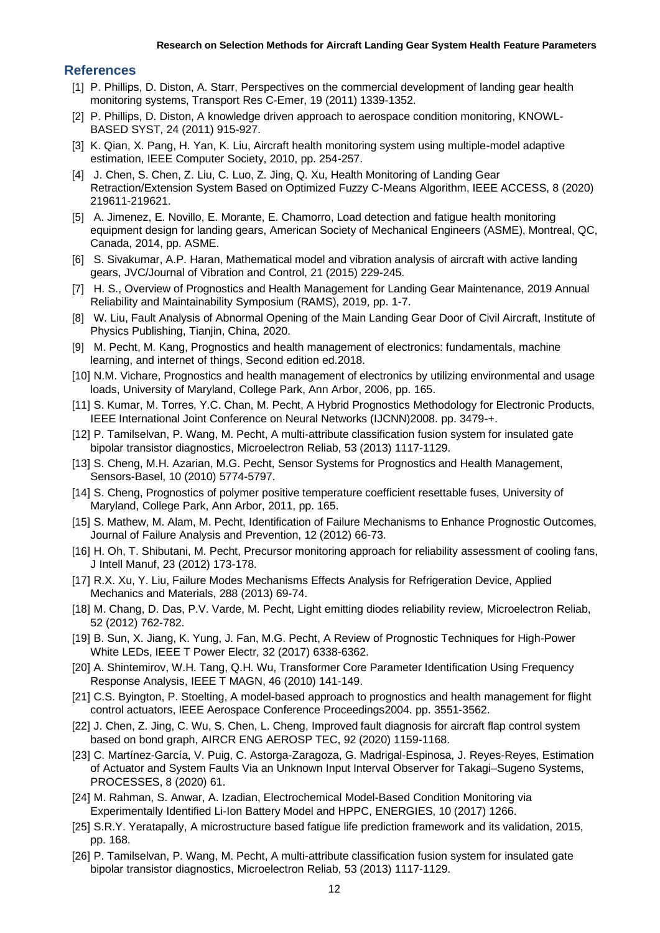#### **References**

- [1] P. Phillips, D. Diston, A. Starr, Perspectives on the commercial development of landing gear health monitoring systems, Transport Res C-Emer, 19 (2011) 1339-1352.
- [2] P. Phillips, D. Diston, A knowledge driven approach to aerospace condition monitoring, KNOWL-BASED SYST, 24 (2011) 915-927.
- [3] K. Qian, X. Pang, H. Yan, K. Liu, Aircraft health monitoring system using multiple-model adaptive estimation, IEEE Computer Society, 2010, pp. 254-257.
- [4] J. Chen, S. Chen, Z. Liu, C. Luo, Z. Jing, Q. Xu, Health Monitoring of Landing Gear Retraction/Extension System Based on Optimized Fuzzy C-Means Algorithm, IEEE ACCESS, 8 (2020) 219611-219621.
- [5] A. Jimenez, E. Novillo, E. Morante, E. Chamorro, Load detection and fatigue health monitoring equipment design for landing gears, American Society of Mechanical Engineers (ASME), Montreal, QC, Canada, 2014, pp. ASME.
- [6] S. Sivakumar, A.P. Haran, Mathematical model and vibration analysis of aircraft with active landing gears, JVC/Journal of Vibration and Control, 21 (2015) 229-245.
- [7] H. S., Overview of Prognostics and Health Management for Landing Gear Maintenance, 2019 Annual Reliability and Maintainability Symposium (RAMS), 2019, pp. 1-7.
- [8] W. Liu, Fault Analysis of Abnormal Opening of the Main Landing Gear Door of Civil Aircraft, Institute of Physics Publishing, Tianjin, China, 2020.
- [9] M. Pecht, M. Kang, Prognostics and health management of electronics: fundamentals, machine learning, and internet of things, Second edition ed.2018.
- [10] N.M. Vichare, Prognostics and health management of electronics by utilizing environmental and usage loads, University of Maryland, College Park, Ann Arbor, 2006, pp. 165.
- [11] S. Kumar, M. Torres, Y.C. Chan, M. Pecht, A Hybrid Prognostics Methodology for Electronic Products, IEEE International Joint Conference on Neural Networks (IJCNN)2008. pp. 3479-+.
- [12] P. Tamilselvan, P. Wang, M. Pecht, A multi-attribute classification fusion system for insulated gate bipolar transistor diagnostics, Microelectron Reliab, 53 (2013) 1117-1129.
- [13] S. Cheng, M.H. Azarian, M.G. Pecht, Sensor Systems for Prognostics and Health Management, Sensors-Basel, 10 (2010) 5774-5797.
- [14] S. Cheng, Prognostics of polymer positive temperature coefficient resettable fuses, University of Maryland, College Park, Ann Arbor, 2011, pp. 165.
- [15] S. Mathew, M. Alam, M. Pecht, Identification of Failure Mechanisms to Enhance Prognostic Outcomes, Journal of Failure Analysis and Prevention, 12 (2012) 66-73.
- [16] H. Oh, T. Shibutani, M. Pecht, Precursor monitoring approach for reliability assessment of cooling fans, J Intell Manuf, 23 (2012) 173-178.
- [17] R.X. Xu, Y. Liu, Failure Modes Mechanisms Effects Analysis for Refrigeration Device, Applied Mechanics and Materials, 288 (2013) 69-74.
- [18] M. Chang, D. Das, P.V. Varde, M. Pecht, Light emitting diodes reliability review, Microelectron Reliab, 52 (2012) 762-782.
- [19] B. Sun, X. Jiang, K. Yung, J. Fan, M.G. Pecht, A Review of Prognostic Techniques for High-Power White LEDs, IEEE T Power Electr, 32 (2017) 6338-6362.
- [20] A. Shintemirov, W.H. Tang, Q.H. Wu, Transformer Core Parameter Identification Using Frequency Response Analysis, IEEE T MAGN, 46 (2010) 141-149.
- [21] C.S. Byington, P. Stoelting, A model-based approach to prognostics and health management for flight control actuators, IEEE Aerospace Conference Proceedings2004. pp. 3551-3562.
- [22] J. Chen, Z. Jing, C. Wu, S. Chen, L. Cheng, Improved fault diagnosis for aircraft flap control system based on bond graph, AIRCR ENG AEROSP TEC, 92 (2020) 1159-1168.
- [23] C. Martínez-García, V. Puig, C. Astorga-Zaragoza, G. Madrigal-Espinosa, J. Reyes-Reyes, Estimation of Actuator and System Faults Via an Unknown Input Interval Observer for Takagi–Sugeno Systems, PROCESSES, 8 (2020) 61.
- [24] M. Rahman, S. Anwar, A. Izadian, Electrochemical Model-Based Condition Monitoring via Experimentally Identified Li-Ion Battery Model and HPPC, ENERGIES, 10 (2017) 1266.
- [25] S.R.Y. Yeratapally, A microstructure based fatigue life prediction framework and its validation, 2015, pp. 168.
- [26] P. Tamilselvan, P. Wang, M. Pecht, A multi-attribute classification fusion system for insulated gate bipolar transistor diagnostics, Microelectron Reliab, 53 (2013) 1117-1129.